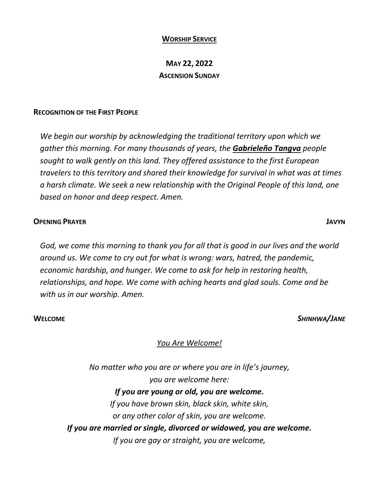### **WORSHIP SERVICE**

### **MAY 22, 2022 ASCENSION SUNDAY**

### **RECOGNITION OF THE FIRST PEOPLE**

*We begin our worship by acknowledging the traditional territory upon which we gather this morning. For many thousands of years, the Gabrieleño Tangva people sought to walk gently on this land. They offered assistance to the first European travelers to this territory and shared their knowledge for survival in what was at times a harsh climate. We seek a new relationship with the Original People of this land, one based on honor and deep respect. Amen.* 

### **OPENING PRAYER JAVYN**

*God, we come this morning to thank you for all that is good in our lives and the world around us. We come to cry out for what is wrong: wars, hatred, the pandemic, economic hardship, and hunger. We come to ask for help in restoring health, relationships, and hope. We come with aching hearts and glad souls. Come and be with us in our worship. Amen.* 

**WELCOME** *SHINHWA/JANE*

### *You Are Welcome!*

*No matter who you are or where you are in life's journey, you are welcome here: If you are young or old, you are welcome. If you have brown skin, black skin, white skin, or any other color of skin, you are welcome. If you are married or single, divorced or widowed, you are welcome. If you are gay or straight, you are welcome,*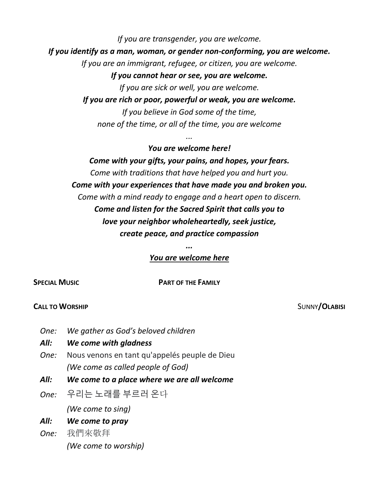*If you are transgender, you are welcome. If you identify as a man, woman, or gender non-conforming, you are welcome. If you are an immigrant, refugee, or citizen, you are welcome. If you cannot hear or see, you are welcome. If you are sick or well, you are welcome.*

*If you are rich or poor, powerful or weak, you are welcome. If you believe in God some of the time, none of the time, or all of the time, you are welcome*

*...*

*You are welcome here! Come with your gifts, your pains, and hopes, your fears. Come with traditions that have helped you and hurt you. Come with your experiences that have made you and broken you. Come with a mind ready to engage and a heart open to discern. Come and listen for the Sacred Spirit that calls you to love your neighbor wholeheartedly, seek justice, create peace, and practice compassion*

### *You are welcome here*

### **CALL TO WORSHIP** SUNNY **CLABISI**

*One: We gather as God's beloved children*

### *All: We come with gladness*

- *One:* Nous venons en tant qu'appelés peuple de Dieu  *(We come as called people of God)*
- *All: We come to a place where we are all welcome*
- *One:* 우리는 노래를 부르러 온다

 *(We come to sing)*

### *All: We come to pray*

*One:* 我們來敬拜  *(We come to worship)*

# *...*

## **SPECIAL MUSIC PART OF THE FAMILY**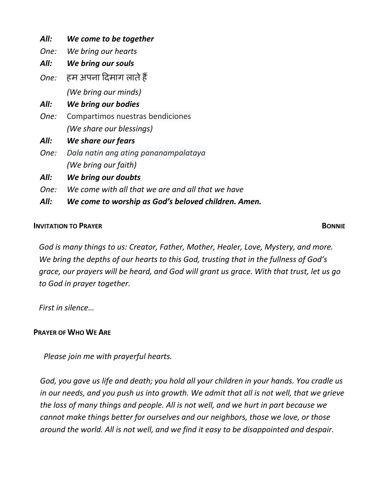| All: | We come to be together                              |
|------|-----------------------------------------------------|
| One: | We bring our hearts                                 |
| All: | We bring our souls                                  |
| One: | हम अपना दिमाग लाते हैं                              |
|      | (We bring our minds)                                |
| All: | We bring our bodies                                 |
| One: | Compartimos nuestras bendiciones                    |
|      | (We share our blessings)                            |
| All: | We share our fears                                  |
| One: | Dala natin ang ating pananampalataya                |
|      | (We bring our faith)                                |
| All: | We bring our doubts                                 |
| One: | We come with all that we are and all that we have   |
| All: | We come to worship as God's beloved children. Amen. |

### **INVITATION TO PRAYER BONNIE**

*God is many things to us: Creator, Father, Mother, Healer, Love, Mystery, and more. We bring the depths of our hearts to this God, trusting that in the fullness of God's grace, our prayers will be heard, and God will grant us grace. With that trust, let us go to God in prayer together.* 

*First in silence…*

### **PRAYER OF WHO WE ARE**

*Please join me with prayerful hearts.*

*God, you gave us life and death; you hold all your children in your hands. You cradle us in our needs, and you push us into growth. We admit that all is not well, that we grieve the loss of many things and people. All is not well, and we hurt in part because we cannot make things better for ourselves and our neighbors, those we love, or those around the world. All is not well, and we find it easy to be disappointed and despair.*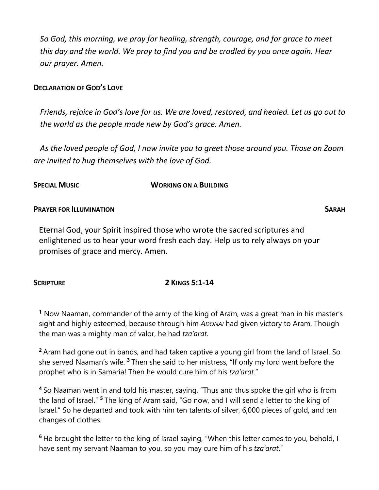*So God, this morning, we pray for healing, strength, courage, and for grace to meet this day and the world. We pray to find you and be cradled by you once again. Hear our prayer. Amen.* 

### **DECLARATION OF GOD'S LOVE**

*Friends, rejoice in God's love for us. We are loved, restored, and healed. Let us go out to the world as the people made new by God's grace. Amen.* 

*As the loved people of God, I now invite you to greet those around you. Those on Zoom are invited to hug themselves with the love of God.* 

### **SPECIAL MUSIC WORKING ON A BUILDING**

### **PRAYER FOR ILLUMINATION SARAH**

Eternal God, your Spirit inspired those who wrote the sacred scriptures and enlightened us to hear your word fresh each day. Help us to rely always on your promises of grace and mercy. Amen.

### **<sup>1</sup>** Now Naaman, commander of the army of the king of Aram, was a great man in his master's sight and highly esteemed, because through him *ADONAI* had given victory to Aram. Though the man was a mighty man of valor, he had *tza'arat*.

**<sup>2</sup>**Aram had gone out in bands, and had taken captive a young girl from the land of Israel. So she served Naaman's wife. **<sup>3</sup>**Then she said to her mistress, "If only my lord went before the prophet who is in Samaria! Then he would cure him of his *tza'arat*."

**<sup>4</sup>**So Naaman went in and told his master, saying, "Thus and thus spoke the girl who is from the land of Israel." **<sup>5</sup>**The king of Aram said, "Go now, and I will send a letter to the king of Israel." So he departed and took with him ten talents of silver, 6,000 pieces of gold, and ten changes of clothes.

**<sup>6</sup>**He brought the letter to the king of Israel saying, "When this letter comes to you, behold, I have sent my servant Naaman to you, so you may cure him of his *tza'arat*."

### **SCRIPTURE 2 KINGS 5:1-14**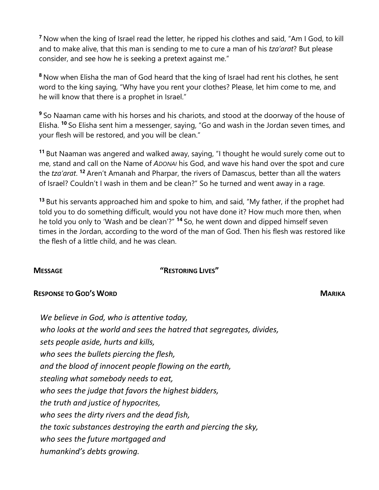**<sup>7</sup>**Now when the king of Israel read the letter, he ripped his clothes and said, "Am I God, to kill and to make alive, that this man is sending to me to cure a man of his *tza'arat*? But please consider, and see how he is seeking a pretext against me."

**<sup>8</sup>**Now when Elisha the man of God heard that the king of Israel had rent his clothes, he sent word to the king saying, "Why have you rent your clothes? Please, let him come to me, and he will know that there is a prophet in Israel."

**<sup>9</sup>**So Naaman came with his horses and his chariots, and stood at the doorway of the house of Elisha. **<sup>10</sup>** So Elisha sent him a messenger, saying, "Go and wash in the Jordan seven times, and your flesh will be restored, and you will be clean."

**<sup>11</sup>** But Naaman was angered and walked away, saying, "I thought he would surely come out to me, stand and call on the Name of *ADONAI* his God, and wave his hand over the spot and cure the *tza'arat*. **<sup>12</sup>** Aren't Amanah and Pharpar, the rivers of Damascus, better than all the waters of Israel? Couldn't I wash in them and be clean?" So he turned and went away in a rage.

**<sup>13</sup>** But his servants approached him and spoke to him, and said, "My father, if the prophet had told you to do something difficult, would you not have done it? How much more then, when he told you only to 'Wash and be clean'?" **<sup>14</sup>** So, he went down and dipped himself seven times in the Jordan, according to the word of the man of God. Then his flesh was restored like the flesh of a little child, and he was clean.

### **MESSAGE "RESTORING LIVES"**

### **RESPONSE TO GOD'S WORD MARIKA**

*We believe in God, who is attentive today, who looks at the world and sees the hatred that segregates, divides, sets people aside, hurts and kills, who sees the bullets piercing the flesh, and the blood of innocent people flowing on the earth, stealing what somebody needs to eat, who sees the judge that favors the highest bidders, the truth and justice of hypocrites, who sees the dirty rivers and the dead fish, the toxic substances destroying the earth and piercing the sky, who sees the future mortgaged and humankind's debts growing.*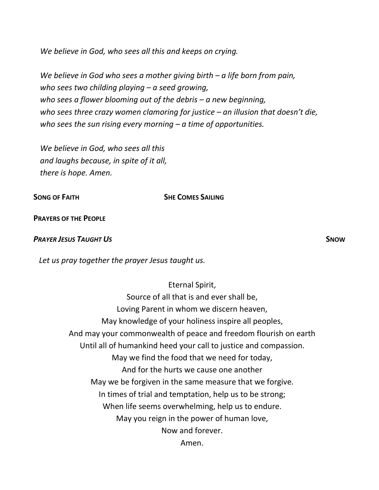*We believe in God, who sees all this and keeps on crying.*

*We believe in God who sees a mother giving birth – a life born from pain, who sees two childing playing – a seed growing, who sees a flower blooming out of the debris – a new beginning, who sees three crazy women clamoring for justice – an illusion that doesn't die, who sees the sun rising every morning – a time of opportunities.*

*We believe in God, who sees all this and laughs because, in spite of it all, there is hope. Amen.*

### **SONG OF FAITH SHE COMES SAILING**

**PRAYERS OF THE PEOPLE**

### *PRAYER JESUS TAUGHT US* **SNOW**

*Let us pray together the prayer Jesus taught us.* 

### Eternal Spirit,

Source of all that is and ever shall be, Loving Parent in whom we discern heaven, May knowledge of your holiness inspire all peoples, And may your commonwealth of peace and freedom flourish on earth Until all of humankind heed your call to justice and compassion. May we find the food that we need for today, And for the hurts we cause one another May we be forgiven in the same measure that we forgive. In times of trial and temptation, help us to be strong; When life seems overwhelming, help us to endure. May you reign in the power of human love, Now and forever. Amen.